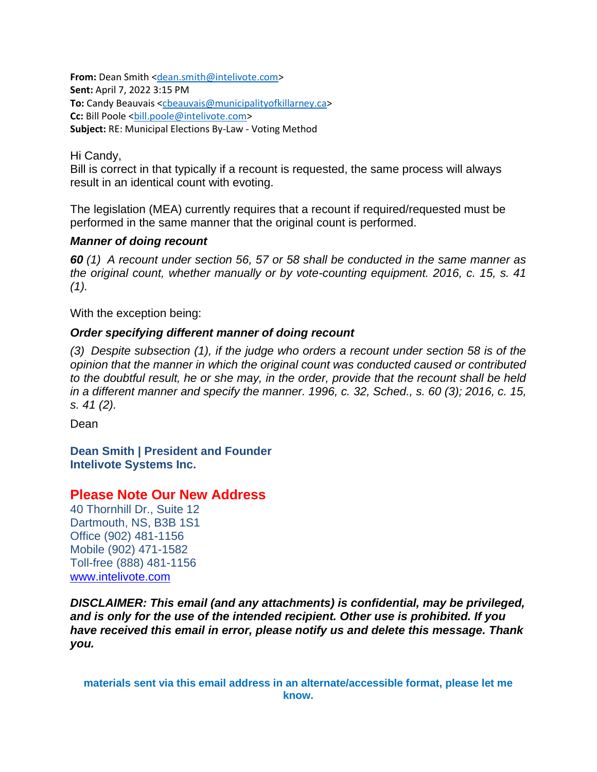**From:** Dean Smith [<dean.smith@intelivote.com>](mailto:dean.smith@intelivote.com) **Sent:** April 7, 2022 3:15 PM **To:** Candy Beauvais [<cbeauvais@municipalityofkillarney.ca>](mailto:cbeauvais@municipalityofkillarney.ca) **Cc:** Bill Poole [<bill.poole@intelivote.com>](mailto:bill.poole@intelivote.com) **Subject:** RE: Municipal Elections By-Law - Voting Method

Hi Candy,

Bill is correct in that typically if a recount is requested, the same process will always result in an identical count with evoting.

The legislation (MEA) currently requires that a recount if required/requested must be performed in the same manner that the original count is performed.

### *Manner of doing recount*

*60 (1) A recount under section 56, 57 or 58 shall be conducted in the same manner as the original count, whether manually or by vote-counting equipment. 2016, c. 15, s. 41 (1).*

With the exception being:

## *Order specifying different manner of doing recount*

*(3) Despite subsection (1), if the judge who orders a recount under section 58 is of the opinion that the manner in which the original count was conducted caused or contributed to the doubtful result, he or she may, in the order, provide that the recount shall be held in a different manner and specify the manner. 1996, c. 32, Sched., s. 60 (3); 2016, c. 15, s. 41 (2).*

Dean

**Dean Smith | President and Founder Intelivote Systems Inc.**

## **Please Note Our New Address**

40 Thornhill Dr., Suite 12 Dartmouth, NS, B3B 1S1 Office (902) 481-1156 Mobile (902) 471-1582 Toll-free (888) 481-1156 [www.intelivote.com](http://www.intelivote.com/)

*DISCLAIMER: This email (and any attachments) is confidential, may be privileged, and is only for the use of the intended recipient. Other use is prohibited. If you have received this email in error, please notify us and delete this message. Thank you.*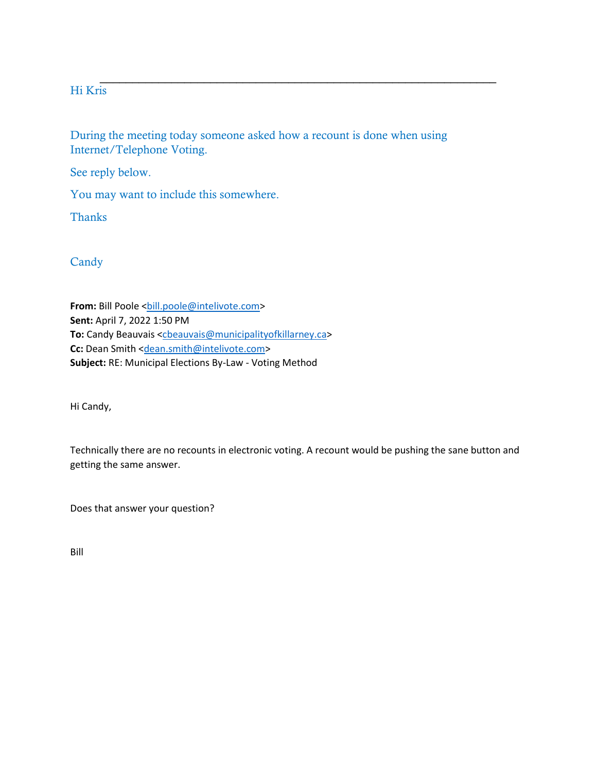# Hi Kris

During the meeting today someone asked how a recount is done when using Internet/Telephone Voting.

\_\_\_\_\_\_\_\_\_\_\_\_\_\_\_\_\_\_\_\_\_\_\_\_\_\_\_\_\_\_\_\_\_\_\_\_\_\_\_\_\_\_\_\_\_\_\_\_\_\_\_\_\_\_\_\_\_\_\_\_\_

See reply below.

You may want to include this somewhere.

**Thanks** 

# Candy

From: Bill Poole <br />bill.poole@intelivote.com> **Sent:** April 7, 2022 1:50 PM **To:** Candy Beauvais [<cbeauvais@municipalityofkillarney.ca>](mailto:cbeauvais@municipalityofkillarney.ca) **Cc:** Dean Smith [<dean.smith@intelivote.com>](mailto:dean.smith@intelivote.com) **Subject:** RE: Municipal Elections By-Law - Voting Method

Hi Candy,

Technically there are no recounts in electronic voting. A recount would be pushing the sane button and getting the same answer.

Does that answer your question?

Bill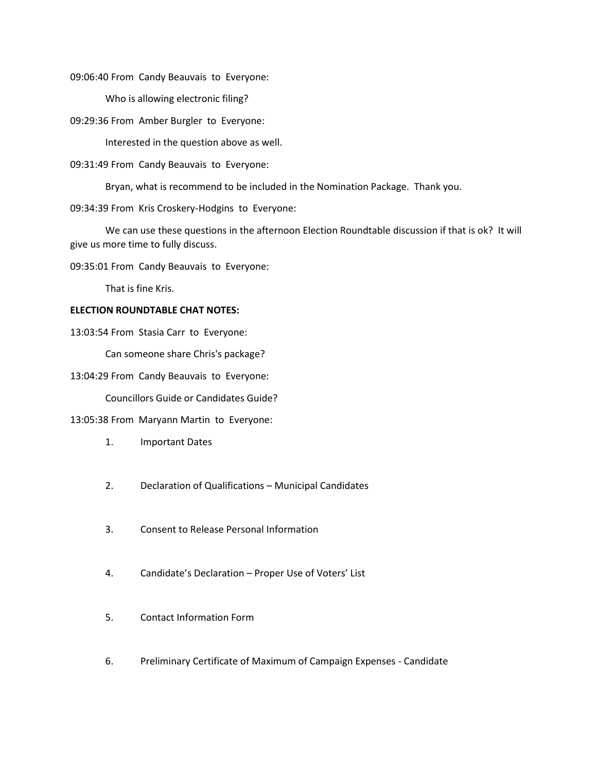09:06:40 From Candy Beauvais to Everyone:

Who is allowing electronic filing?

09:29:36 From Amber Burgler to Everyone:

Interested in the question above as well.

09:31:49 From Candy Beauvais to Everyone:

Bryan, what is recommend to be included in the Nomination Package. Thank you.

09:34:39 From Kris Croskery-Hodgins to Everyone:

We can use these questions in the afternoon Election Roundtable discussion if that is ok? It will give us more time to fully discuss.

09:35:01 From Candy Beauvais to Everyone:

That is fine Kris.

#### **ELECTION ROUNDTABLE CHAT NOTES:**

13:03:54 From Stasia Carr to Everyone:

Can someone share Chris's package?

13:04:29 From Candy Beauvais to Everyone:

Councillors Guide or Candidates Guide?

13:05:38 From Maryann Martin to Everyone:

- 1. Important Dates
- 2. Declaration of Qualifications Municipal Candidates
- 3. Consent to Release Personal Information
- 4. Candidate's Declaration Proper Use of Voters' List
- 5. Contact Information Form
- 6. Preliminary Certificate of Maximum of Campaign Expenses Candidate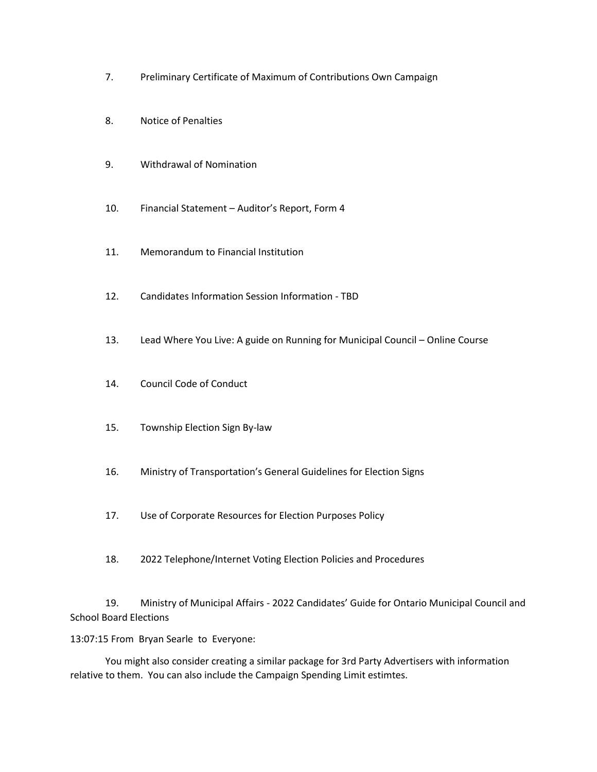- 7. Preliminary Certificate of Maximum of Contributions Own Campaign
- 8. Notice of Penalties
- 9. Withdrawal of Nomination
- 10. Financial Statement Auditor's Report, Form 4
- 11. Memorandum to Financial Institution
- 12. Candidates Information Session Information TBD
- 13. Lead Where You Live: A guide on Running for Municipal Council Online Course
- 14. Council Code of Conduct
- 15. Township Election Sign By-law
- 16. Ministry of Transportation's General Guidelines for Election Signs
- 17. Use of Corporate Resources for Election Purposes Policy
- 18. 2022 Telephone/Internet Voting Election Policies and Procedures

19. Ministry of Municipal Affairs - 2022 Candidates' Guide for Ontario Municipal Council and School Board Elections

13:07:15 From Bryan Searle to Everyone:

You might also consider creating a similar package for 3rd Party Advertisers with information relative to them. You can also include the Campaign Spending Limit estimtes.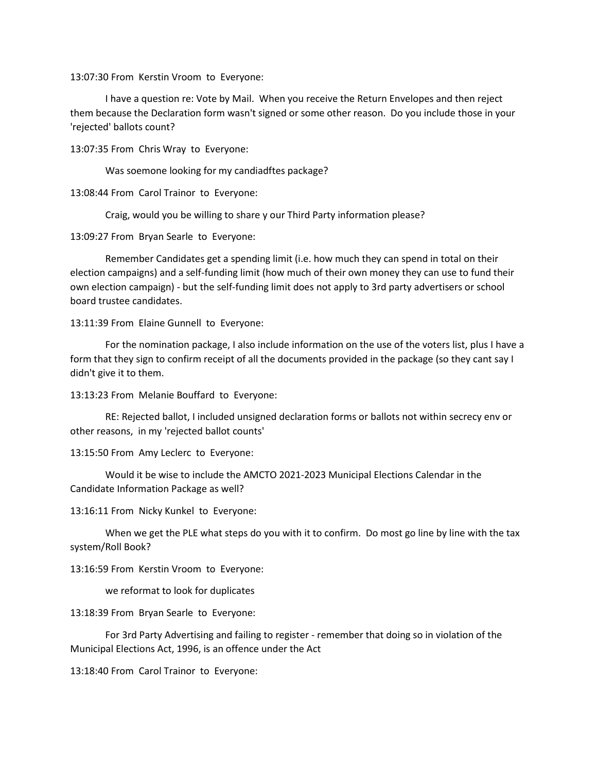13:07:30 From Kerstin Vroom to Everyone:

I have a question re: Vote by Mail. When you receive the Return Envelopes and then reject them because the Declaration form wasn't signed or some other reason. Do you include those in your 'rejected' ballots count?

13:07:35 From Chris Wray to Everyone:

Was soemone looking for my candiadftes package?

13:08:44 From Carol Trainor to Everyone:

Craig, would you be willing to share y our Third Party information please?

13:09:27 From Bryan Searle to Everyone:

Remember Candidates get a spending limit (i.e. how much they can spend in total on their election campaigns) and a self-funding limit (how much of their own money they can use to fund their own election campaign) - but the self-funding limit does not apply to 3rd party advertisers or school board trustee candidates.

13:11:39 From Elaine Gunnell to Everyone:

For the nomination package, I also include information on the use of the voters list, plus I have a form that they sign to confirm receipt of all the documents provided in the package (so they cant say I didn't give it to them.

13:13:23 From Melanie Bouffard to Everyone:

RE: Rejected ballot, I included unsigned declaration forms or ballots not within secrecy env or other reasons, in my 'rejected ballot counts'

13:15:50 From Amy Leclerc to Everyone:

Would it be wise to include the AMCTO 2021-2023 Municipal Elections Calendar in the Candidate Information Package as well?

13:16:11 From Nicky Kunkel to Everyone:

When we get the PLE what steps do you with it to confirm. Do most go line by line with the tax system/Roll Book?

13:16:59 From Kerstin Vroom to Everyone:

we reformat to look for duplicates

13:18:39 From Bryan Searle to Everyone:

For 3rd Party Advertising and failing to register - remember that doing so in violation of the Municipal Elections Act, 1996, is an offence under the Act

13:18:40 From Carol Trainor to Everyone: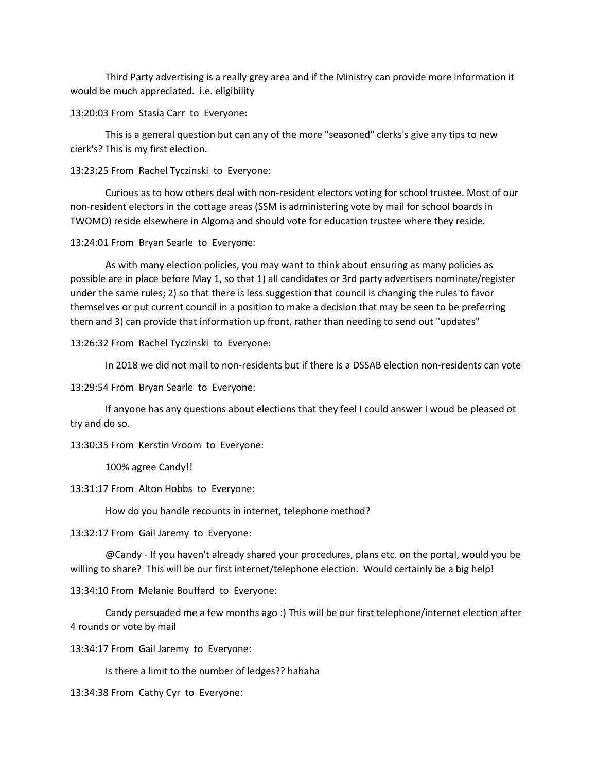Third Party advertising is a really grey area and if the Ministry can provide more information it would be much appreciated. i.e. eligibility

13:20:03 From Stasia Carr to Everyone:

This is a general question but can any of the more "seasoned" clerks's give any tips to new clerk's? This is my first election.

13:23:25 From Rachel Tyczinski to Everyone:

Curious as to how others deal with non-resident electors voting for school trustee. Most of our non-resident electors in the cottage areas (SSM is administering vote by mail for school boards in TWOMO) reside elsewhere in Algoma and should vote for education trustee where they reside.

13:24:01 From Bryan Searle to Everyone:

As with many election policies, you may want to think about ensuring as many policies as possible are in place before May 1, so that 1) all candidates or 3rd party advertisers nominate/register under the same rules; 2) so that there is less suggestion that council is changing the rules to favor themselves or put current council in a position to make a decision that may be seen to be preferring them and 3) can provide that information up front, rather than needing to send out "updates"

13:26:32 From Rachel Tyczinski to Everyone:

In 2018 we did not mail to non-residents but if there is a DSSAB election non-residents can vote

13:29:54 From Bryan Searle to Everyone:

If anyone has any questions about elections that they feel I could answer I woud be pleased ot try and do so.

13:30:35 From Kerstin Vroom to Everyone:

100% agree Candy!!

13:31:17 From Alton Hobbs to Everyone:

How do you handle recounts in internet, telephone method?

13:32:17 From Gail Jaremy to Everyone:

@Candy - If you haven't already shared your procedures, plans etc. on the portal, would you be willing to share? This will be our first internet/telephone election. Would certainly be a big help!

13:34:10 From Melanie Bouffard to Everyone:

Candy persuaded me a few months ago :) This will be our first telephone/internet election after 4 rounds or vote by mail

13:34:17 From Gail Jaremy to Everyone:

Is there a limit to the number of ledges?? hahaha

13:34:38 From Cathy Cyr to Everyone: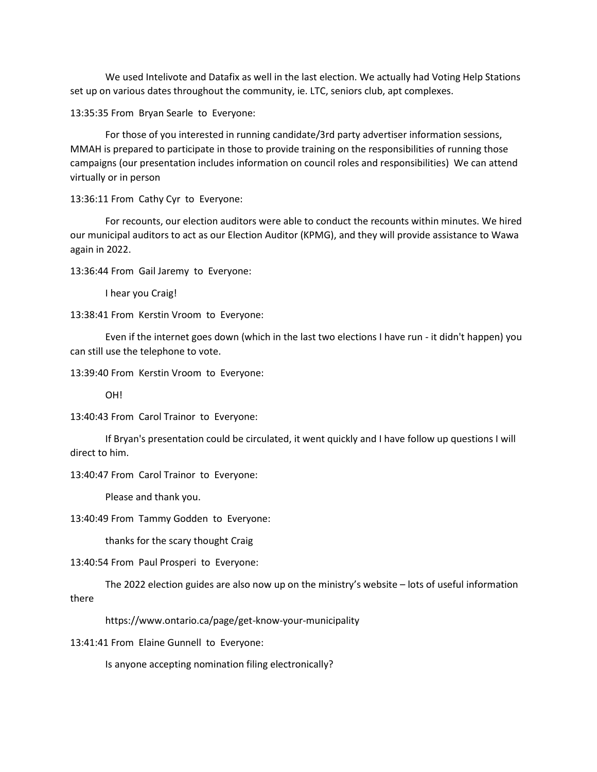We used Intelivote and Datafix as well in the last election. We actually had Voting Help Stations set up on various dates throughout the community, ie. LTC, seniors club, apt complexes.

13:35:35 From Bryan Searle to Everyone:

For those of you interested in running candidate/3rd party advertiser information sessions, MMAH is prepared to participate in those to provide training on the responsibilities of running those campaigns (our presentation includes information on council roles and responsibilities) We can attend virtually or in person

13:36:11 From Cathy Cyr to Everyone:

For recounts, our election auditors were able to conduct the recounts within minutes. We hired our municipal auditors to act as our Election Auditor (KPMG), and they will provide assistance to Wawa again in 2022.

13:36:44 From Gail Jaremy to Everyone:

I hear you Craig!

13:38:41 From Kerstin Vroom to Everyone:

Even if the internet goes down (which in the last two elections I have run - it didn't happen) you can still use the telephone to vote.

13:39:40 From Kerstin Vroom to Everyone:

OH!

13:40:43 From Carol Trainor to Everyone:

If Bryan's presentation could be circulated, it went quickly and I have follow up questions I will direct to him.

13:40:47 From Carol Trainor to Everyone:

Please and thank you.

13:40:49 From Tammy Godden to Everyone:

thanks for the scary thought Craig

13:40:54 From Paul Prosperi to Everyone:

The 2022 election guides are also now up on the ministry's website – lots of useful information there

https://www.ontario.ca/page/get-know-your-municipality

13:41:41 From Elaine Gunnell to Everyone:

Is anyone accepting nomination filing electronically?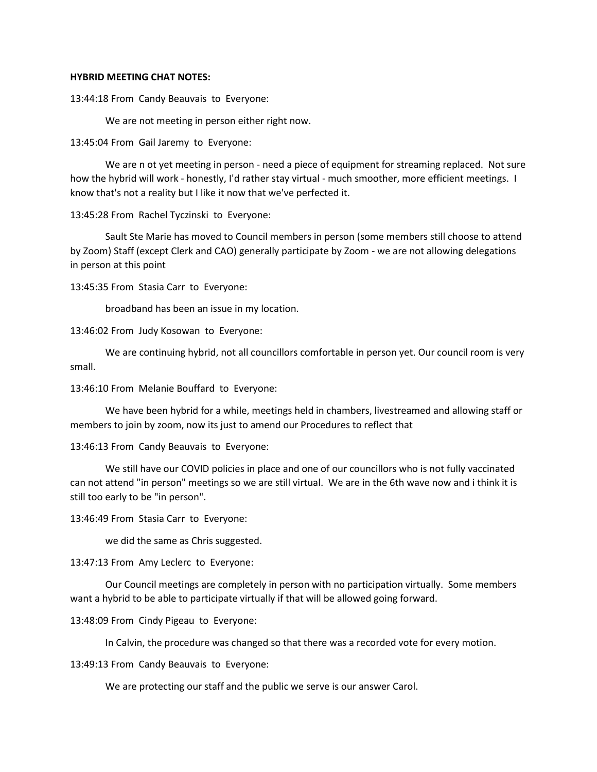#### **HYBRID MEETING CHAT NOTES:**

13:44:18 From Candy Beauvais to Everyone:

We are not meeting in person either right now.

13:45:04 From Gail Jaremy to Everyone:

We are n ot yet meeting in person - need a piece of equipment for streaming replaced. Not sure how the hybrid will work - honestly, I'd rather stay virtual - much smoother, more efficient meetings. I know that's not a reality but I like it now that we've perfected it.

13:45:28 From Rachel Tyczinski to Everyone:

Sault Ste Marie has moved to Council members in person (some members still choose to attend by Zoom) Staff (except Clerk and CAO) generally participate by Zoom - we are not allowing delegations in person at this point

13:45:35 From Stasia Carr to Everyone:

broadband has been an issue in my location.

13:46:02 From Judy Kosowan to Everyone:

We are continuing hybrid, not all councillors comfortable in person yet. Our council room is very small.

13:46:10 From Melanie Bouffard to Everyone:

We have been hybrid for a while, meetings held in chambers, livestreamed and allowing staff or members to join by zoom, now its just to amend our Procedures to reflect that

13:46:13 From Candy Beauvais to Everyone:

We still have our COVID policies in place and one of our councillors who is not fully vaccinated can not attend "in person" meetings so we are still virtual. We are in the 6th wave now and i think it is still too early to be "in person".

13:46:49 From Stasia Carr to Everyone:

we did the same as Chris suggested.

13:47:13 From Amy Leclerc to Everyone:

Our Council meetings are completely in person with no participation virtually. Some members want a hybrid to be able to participate virtually if that will be allowed going forward.

13:48:09 From Cindy Pigeau to Everyone:

In Calvin, the procedure was changed so that there was a recorded vote for every motion.

13:49:13 From Candy Beauvais to Everyone:

We are protecting our staff and the public we serve is our answer Carol.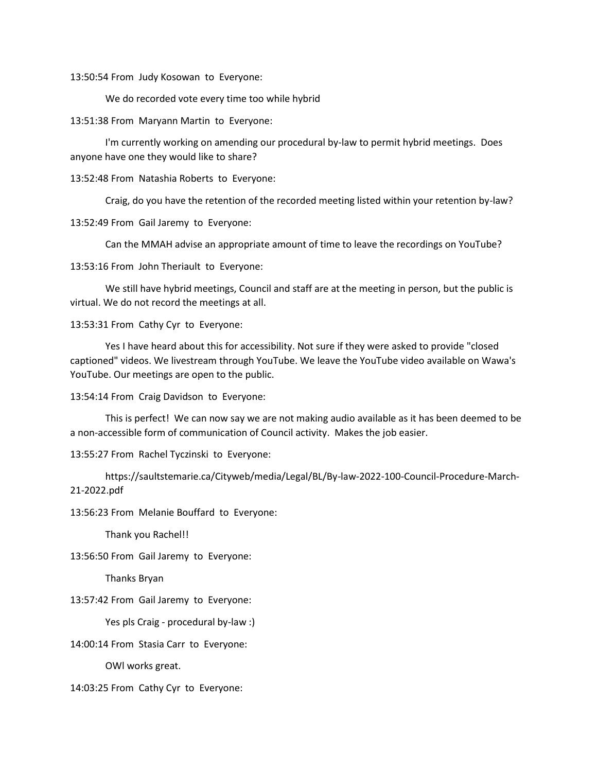13:50:54 From Judy Kosowan to Everyone:

We do recorded vote every time too while hybrid

13:51:38 From Maryann Martin to Everyone:

I'm currently working on amending our procedural by-law to permit hybrid meetings. Does anyone have one they would like to share?

13:52:48 From Natashia Roberts to Everyone:

Craig, do you have the retention of the recorded meeting listed within your retention by-law?

13:52:49 From Gail Jaremy to Everyone:

Can the MMAH advise an appropriate amount of time to leave the recordings on YouTube?

13:53:16 From John Theriault to Everyone:

We still have hybrid meetings, Council and staff are at the meeting in person, but the public is virtual. We do not record the meetings at all.

13:53:31 From Cathy Cyr to Everyone:

Yes I have heard about this for accessibility. Not sure if they were asked to provide "closed captioned" videos. We livestream through YouTube. We leave the YouTube video available on Wawa's YouTube. Our meetings are open to the public.

13:54:14 From Craig Davidson to Everyone:

This is perfect! We can now say we are not making audio available as it has been deemed to be a non-accessible form of communication of Council activity. Makes the job easier.

13:55:27 From Rachel Tyczinski to Everyone:

https://saultstemarie.ca/Cityweb/media/Legal/BL/By-law-2022-100-Council-Procedure-March-21-2022.pdf

13:56:23 From Melanie Bouffard to Everyone:

Thank you Rachel!!

13:56:50 From Gail Jaremy to Everyone:

Thanks Bryan

13:57:42 From Gail Jaremy to Everyone:

Yes pls Craig - procedural by-law :)

14:00:14 From Stasia Carr to Everyone:

OWl works great.

14:03:25 From Cathy Cyr to Everyone: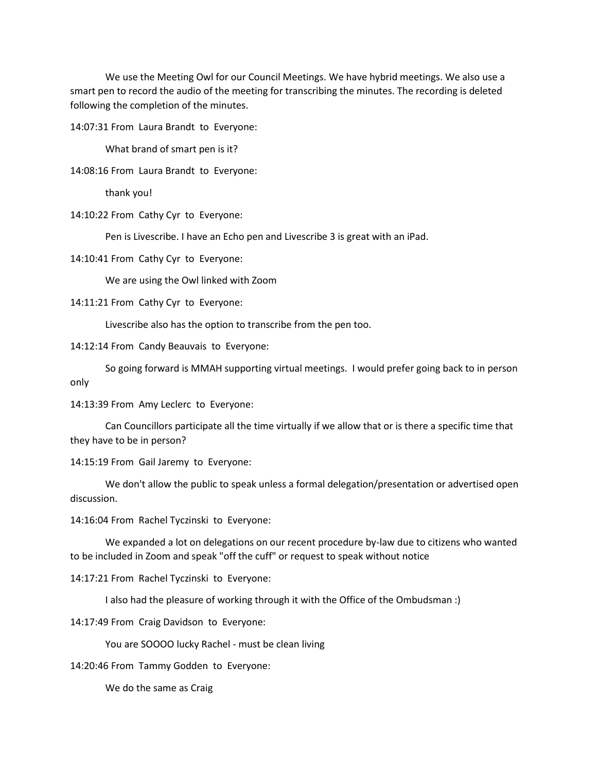We use the Meeting Owl for our Council Meetings. We have hybrid meetings. We also use a smart pen to record the audio of the meeting for transcribing the minutes. The recording is deleted following the completion of the minutes.

14:07:31 From Laura Brandt to Everyone:

What brand of smart pen is it?

14:08:16 From Laura Brandt to Everyone:

thank you!

14:10:22 From Cathy Cyr to Everyone:

Pen is Livescribe. I have an Echo pen and Livescribe 3 is great with an iPad.

14:10:41 From Cathy Cyr to Everyone:

We are using the Owl linked with Zoom

14:11:21 From Cathy Cyr to Everyone:

Livescribe also has the option to transcribe from the pen too.

14:12:14 From Candy Beauvais to Everyone:

So going forward is MMAH supporting virtual meetings. I would prefer going back to in person only

14:13:39 From Amy Leclerc to Everyone:

Can Councillors participate all the time virtually if we allow that or is there a specific time that they have to be in person?

14:15:19 From Gail Jaremy to Everyone:

We don't allow the public to speak unless a formal delegation/presentation or advertised open discussion.

14:16:04 From Rachel Tyczinski to Everyone:

We expanded a lot on delegations on our recent procedure by-law due to citizens who wanted to be included in Zoom and speak "off the cuff" or request to speak without notice

14:17:21 From Rachel Tyczinski to Everyone:

I also had the pleasure of working through it with the Office of the Ombudsman :)

14:17:49 From Craig Davidson to Everyone:

You are SOOOO lucky Rachel - must be clean living

14:20:46 From Tammy Godden to Everyone:

We do the same as Craig